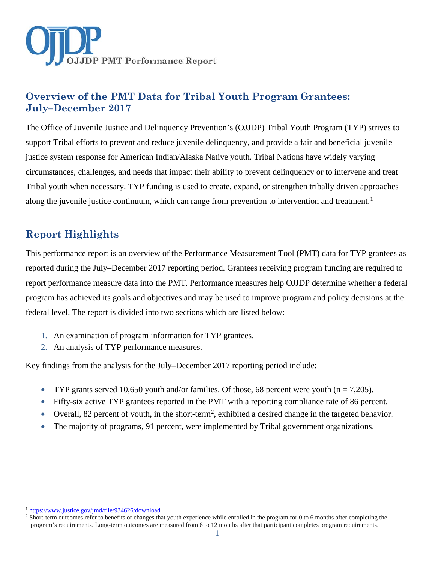

# **Overview of the PMT Data for Tribal Youth Program Grantees: July–December 2017**

The Office of Juvenile Justice and Delinquency Prevention's (OJJDP) Tribal Youth Program (TYP) strives to support Tribal efforts to prevent and reduce juvenile delinquency, and provide a fair and beneficial juvenile justice system response for American Indian/Alaska Native youth. Tribal Nations have widely varying circumstances, challenges, and needs that impact their ability to prevent delinquency or to intervene and treat Tribal youth when necessary. TYP funding is used to create, expand, or strengthen tribally driven approaches along the juvenile justice continuum, which can range from prevention to intervention and treatment.<sup>[1](#page-0-0)</sup>

# **Report Highlights**

This performance report is an overview of the Performance Measurement Tool (PMT) data for TYP grantees as reported during the July–December 2017 reporting period. Grantees receiving program funding are required to report performance measure data into the PMT. Performance measures help OJJDP determine whether a federal program has achieved its goals and objectives and may be used to improve program and policy decisions at the federal level. The report is divided into two sections which are listed below:

- 1. An examination of program information for TYP grantees.
- 2. An analysis of TYP performance measures.

Key findings from the analysis for the July–December 2017 reporting period include:

- TYP grants served 10,650 youth and/or families. Of those, 68 percent were youth ( $n = 7,205$ ).
- Fifty-six active TYP grantees reported in the PMT with a reporting compliance rate of 86 percent.
- Overall, 8[2](#page-0-1) percent of youth, in the short-term<sup>2</sup>, exhibited a desired change in the targeted behavior.
- The majority of programs, 91 percent, were implemented by Tribal government organizations.

<span id="page-0-0"></span><sup>&</sup>lt;sup>1</sup> <https://www.justice.gov/jmd/file/934626/download>

<span id="page-0-1"></span><sup>&</sup>lt;sup>2</sup> Short-term outcomes refer to benefits or changes that youth experience while enrolled in the program for 0 to 6 months after completing the program's requirements. Long-term outcomes are measured from 6 to 12 months after that participant completes program requirements.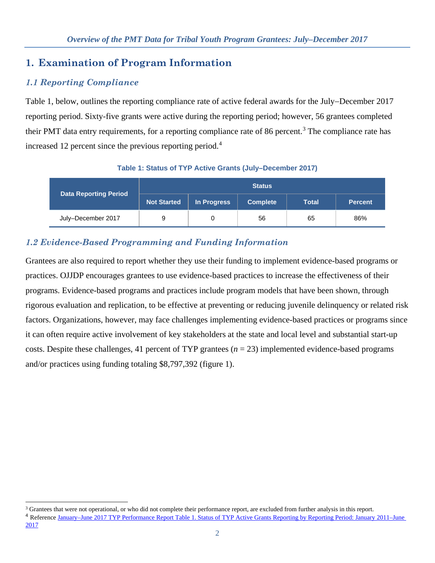## **1. Examination of Program Information**

## *1.1 Reporting Compliance*

 $\ddot{\phantom{a}}$ 

Table 1, below, outlines the reporting compliance rate of active federal awards for the July−December 2017 reporting period. Sixty-five grants were active during the reporting period; however, 56 grantees completed their PMT data entry requirements, for a reporting compliance rate of 86 percent.<sup>[3](#page-1-0)</sup> The compliance rate has increased 12 percent since the previous reporting period.[4](#page-1-1)

|                              | <b>Status</b>      |             |                 |              |                |
|------------------------------|--------------------|-------------|-----------------|--------------|----------------|
| <b>Data Reporting Period</b> | <b>Not Started</b> | In Progress | <b>Complete</b> | <b>Total</b> | <b>Percent</b> |
| July-December 2017           | 9                  | 0           | 56              | 65           | 86%            |

#### **Table 1: Status of TYP Active Grants (July–December 2017)**

## *1.2 Evidence-Based Programming and Funding Information*

Grantees are also required to report whether they use their funding to implement evidence-based programs or practices. OJJDP encourages grantees to use evidence-based practices to increase the effectiveness of their programs. Evidence-based programs and practices include program models that have been shown, through rigorous evaluation and replication, to be effective at preventing or reducing juvenile delinquency or related risk factors. Organizations, however, may face challenges implementing evidence-based practices or programs since it can often require active involvement of key stakeholders at the state and local level and substantial start-up costs. Despite these challenges, 41 percent of TYP grantees  $(n = 23)$  implemented evidence-based programs and/or practices using funding totaling \$8,797,392 (figure 1).

<span id="page-1-1"></span><span id="page-1-0"></span><sup>&</sup>lt;sup>3</sup> Grantees that were not operational, or who did not complete their performance report, are excluded from further analysis in this report. <sup>4</sup> Reference [January–June 2017 TYP Performance Report Table 1. Status of TYP Active Grants Reporting by Reporting Period: January 2011–June](https://ojjdppmt.ojp.gov/help/OJJDP%20RE_Tribal%20Youth%20Program_Final_2017_508.pdf)  [2017](https://ojjdppmt.ojp.gov/help/OJJDP%20RE_Tribal%20Youth%20Program_Final_2017_508.pdf)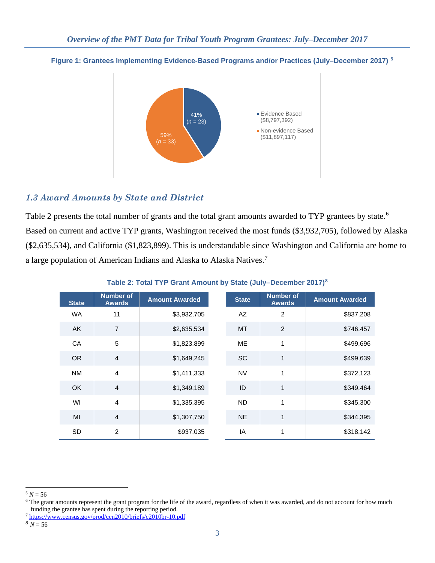

#### **Figure 1: Grantees Implementing Evidence-Based Programs and/or Practices (July–December 2017) [5](#page-2-0)**

### *1.3 Award Amounts by State and District*

Table 2 presents the total number of grants and the total grant amounts awarded to TYP grantees by state.<sup>[6](#page-2-1)</sup> Based on current and active TYP grants, Washington received the most funds (\$3,932,705), followed by Alaska (\$2,635,534), and California (\$1,823,899). This is understandable since Washington and California are home to a large population of American Indians and Alaska to Alaska Natives.<sup>[7](#page-2-2)</sup>

| <b>State</b> | <b>Number of</b><br><b>Awards</b> | <b>Amount Awarded</b> | <b>State</b> | <b>Number of</b><br><b>Awards</b> | <b>Amount Awarded</b> |
|--------------|-----------------------------------|-----------------------|--------------|-----------------------------------|-----------------------|
| <b>WA</b>    | 11                                | \$3,932,705           | AZ           | 2                                 | \$837,208             |
| AK           | $\overline{7}$                    | \$2,635,534           | <b>MT</b>    | 2                                 | \$746,457             |
| CA           | 5                                 | \$1,823,899           | <b>ME</b>    | 1                                 | \$499,696             |
| <b>OR</b>    | $\overline{4}$                    | \$1,649,245           | <b>SC</b>    | 1                                 | \$499,639             |
| <b>NM</b>    | $\overline{4}$                    | \$1,411,333           | <b>NV</b>    | 1                                 | \$372,123             |
| <b>OK</b>    | $\overline{4}$                    | \$1,349,189           | ID           | 1                                 | \$349,464             |
| WI           | $\overline{4}$                    | \$1,335,395           | <b>ND</b>    | 1                                 | \$345,300             |
| MI           | $\overline{4}$                    | \$1,307,750           | <b>NE</b>    | 1                                 | \$344,395             |
| <b>SD</b>    | $\overline{2}$                    | \$937,035             | IA           | 1                                 | \$318,142             |

#### **Table 2: Total TYP Grant Amount by State (July–December 2017)[8](#page-2-3)**

<span id="page-2-0"></span> $5 N = 56$ 

<span id="page-2-1"></span><sup>&</sup>lt;sup>6</sup> The grant amounts represent the grant program for the life of the award, regardless of when it was awarded, and do not account for how much funding the grantee has spent during the reporting period.

<span id="page-2-2"></span><sup>7</sup> <https://www.census.gov/prod/cen2010/briefs/c2010br-10.pdf>

<span id="page-2-3"></span> $8N = 56$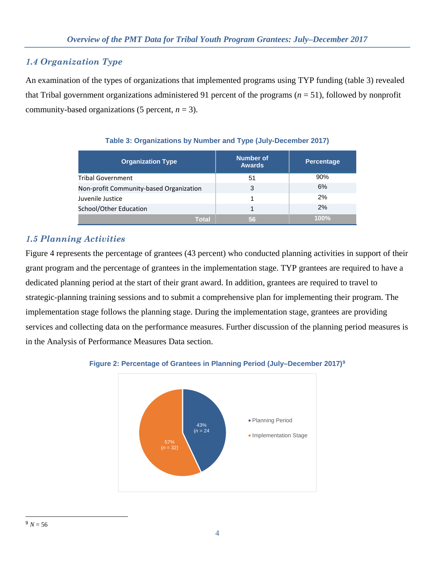### *1.4 Organization Type*

An examination of the types of organizations that implemented programs using TYP funding (table 3) revealed that Tribal government organizations administered 91 percent of the programs (*n* = 51), followed by nonprofit community-based organizations (5 percent,  $n = 3$ ).

| <b>Organization Type</b>                | <b>Number of</b><br><b>Awards</b> | Percentage |
|-----------------------------------------|-----------------------------------|------------|
| <b>Tribal Government</b>                | 51                                | 90%        |
| Non-profit Community-based Organization | 3                                 | 6%         |
| Juvenile Justice                        |                                   | 2%         |
| School/Other Education                  |                                   | 2%         |
| Total                                   | 56                                | 100%       |

#### **Table 3: Organizations by Number and Type (July-December 2017)**

### *1.5 Planning Activities*

Figure 4 represents the percentage of grantees (43 percent) who conducted planning activities in support of their grant program and the percentage of grantees in the implementation stage. TYP grantees are required to have a dedicated planning period at the start of their grant award. In addition, grantees are required to travel to strategic-planning training sessions and to submit a comprehensive plan for implementing their program. The implementation stage follows the planning stage. During the implementation stage, grantees are providing services and collecting data on the performance measures. Further discussion of the planning period measures is in the Analysis of Performance Measures Data section.



#### <span id="page-3-0"></span>**Figure 2: Percentage of Grantees in Planning Period (July–December 2017)[9](#page-3-0)**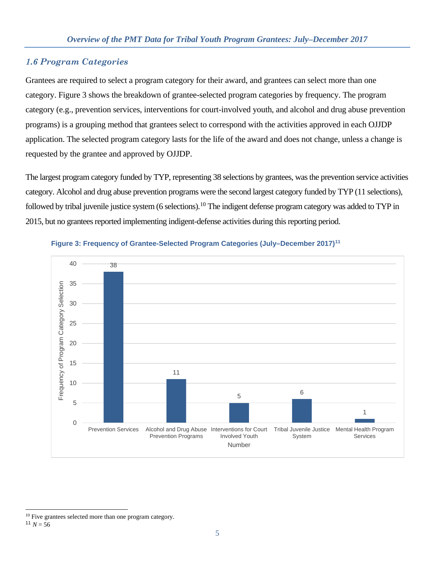#### *1.6 Program Categories*

Grantees are required to select a program category for their award, and grantees can select more than one category. Figure 3 shows the breakdown of grantee-selected program categories by frequency. The program category (e.g., prevention services, interventions for court-involved youth, and alcohol and drug abuse prevention programs) is a grouping method that grantees select to correspond with the activities approved in each OJJDP application. The selected program category lasts for the life of the award and does not change, unless a change is requested by the grantee and approved by OJJDP.

The largest program category funded by TYP, representing 38 selections by grantees, was the prevention service activities category. Alcohol and drug abuse prevention programs were the second largest category funded by TYP (11 selections), followed by tribal juvenile justice system (6 selections).<sup>[10](#page-4-0)</sup> The indigent defense program category was added to TYP in 2015, but no grantees reported implementing indigent-defense activities during this reporting period.





<span id="page-4-1"></span><span id="page-4-0"></span> $\overline{a}$ <sup>10</sup> Five grantees selected more than one program category.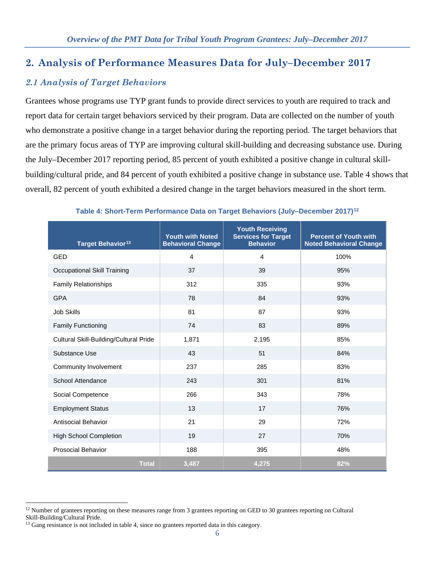### **2. Analysis of Performance Measures Data for July–December 2017**

### *2.1 Analysis of Target Behaviors*

Grantees whose programs use TYP grant funds to provide direct services to youth are required to track and report data for certain target behaviors serviced by their program. Data are collected on the number of youth who demonstrate a positive change in a target behavior during the reporting period. The target behaviors that are the primary focus areas of TYP are improving cultural skill-building and decreasing substance use. During the July–December 2017 reporting period, 85 percent of youth exhibited a positive change in cultural skillbuilding/cultural pride, and 84 percent of youth exhibited a positive change in substance use. Table 4 shows that overall, 82 percent of youth exhibited a desired change in the target behaviors measured in the short term.

| Target Behavior <sup>13</sup>          | <b>Youth with Noted</b><br><b>Behavioral Change</b> | <b>Youth Receiving</b><br><b>Services for Target</b><br><b>Behavior</b> | <b>Percent of Youth with</b><br><b>Noted Behavioral Change</b> |
|----------------------------------------|-----------------------------------------------------|-------------------------------------------------------------------------|----------------------------------------------------------------|
| GED                                    | $\overline{4}$                                      | $\overline{4}$                                                          | 100%                                                           |
| Occupational Skill Training            | 37                                                  | 39                                                                      | 95%                                                            |
| <b>Family Relationships</b>            | 312                                                 | 335                                                                     | 93%                                                            |
| <b>GPA</b>                             | 78                                                  | 84                                                                      | 93%                                                            |
| <b>Job Skills</b>                      | 81                                                  | 87                                                                      | 93%                                                            |
| <b>Family Functioning</b>              | 74                                                  | 83                                                                      | 89%                                                            |
| Cultural Skill-Building/Cultural Pride | 1,871                                               | 2,195                                                                   | 85%                                                            |
| Substance Use                          | 43                                                  | 51                                                                      | 84%                                                            |
| Community Involvement                  | 237                                                 | 285                                                                     | 83%                                                            |
| School Attendance                      | 243                                                 | 301                                                                     | 81%                                                            |
| Social Competence                      | 266                                                 | 343                                                                     | 78%                                                            |
| <b>Employment Status</b>               | 13                                                  | 17                                                                      | 76%                                                            |
| <b>Antisocial Behavior</b>             | 21                                                  | 29                                                                      | 72%                                                            |
| <b>High School Completion</b>          | 19                                                  | 27                                                                      | 70%                                                            |
| <b>Prosocial Behavior</b>              | 188                                                 | 395                                                                     | 48%                                                            |
| <b>Total</b>                           | 3,487                                               | 4,275                                                                   | 82%                                                            |

#### **Table 4: Short-Term Performance Data on Target Behaviors (July–December 2017)[12](#page-5-0)**

<span id="page-5-0"></span> $12$  Number of grantees reporting on these measures range from 3 grantees reporting on GED to 30 grantees reporting on Cultural Skill-Building/Cultural Pride.

<span id="page-5-1"></span><sup>&</sup>lt;sup>13</sup> Gang resistance is not included in table 4, since no grantees reported data in this category.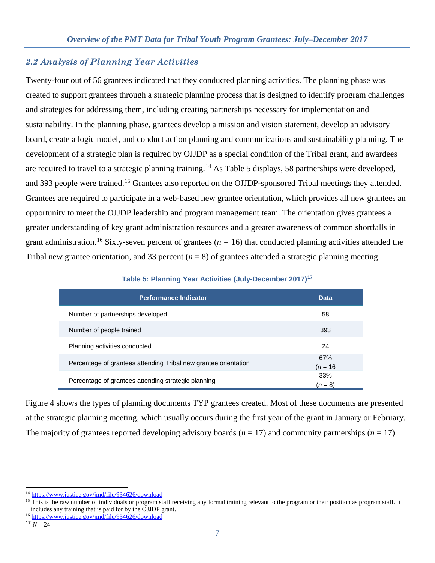#### *2.2 Analysis of Planning Year Activities*

Twenty-four out of 56 grantees indicated that they conducted planning activities. The planning phase was created to support grantees through a strategic planning process that is designed to identify program challenges and strategies for addressing them, including creating partnerships necessary for implementation and sustainability. In the planning phase, grantees develop a mission and vision statement, develop an advisory board, create a logic model, and conduct action planning and communications and sustainability planning. The development of a strategic plan is required by OJJDP as a special condition of the Tribal grant, and awardees are required to travel to a strategic planning training.<sup>[14](#page-6-0)</sup> As Table 5 displays, 58 partnerships were developed, and 393 people were trained.<sup>[15](#page-6-1)</sup> Grantees also reported on the OJJDP-sponsored Tribal meetings they attended. Grantees are required to participate in a web-based new grantee orientation, which provides all new grantees an opportunity to meet the OJJDP leadership and program management team. The orientation gives grantees a greater understanding of key grant administration resources and a greater awareness of common shortfalls in grant administration.<sup>[16](#page-6-2)</sup> Sixty-seven percent of grantees ( $n = 16$ ) that conducted planning activities attended the Tribal new grantee orientation, and 33 percent  $(n = 8)$  of grantees attended a strategic planning meeting.

| <b>Performance Indicator</b>                                    | <b>Data</b>       |
|-----------------------------------------------------------------|-------------------|
| Number of partnerships developed                                | 58                |
| Number of people trained                                        | 393               |
| Planning activities conducted                                   | 24                |
| Percentage of grantees attending Tribal new grantee orientation | 67%<br>$(n = 16)$ |
| Percentage of grantees attending strategic planning             | 33%<br>$(n = 8)$  |

**Table 5: Planning Year Activities (July-December 2017)[17](#page-6-3)**

Figure 4 shows the types of planning documents TYP grantees created. Most of these documents are presented at the strategic planning meeting, which usually occurs during the first year of the grant in January or February. The majority of grantees reported developing advisory boards  $(n = 17)$  and community partnerships  $(n = 17)$ .

<span id="page-6-0"></span><sup>14</sup> <https://www.justice.gov/jmd/file/934626/download>

<span id="page-6-1"></span><sup>&</sup>lt;sup>15</sup> This is the raw number of individuals or program staff receiving any formal training relevant to the program or their position as program staff. It includes any training that is paid for by the OJJDP grant.

<span id="page-6-2"></span><sup>16</sup> <https://www.justice.gov/jmd/file/934626/download>

<span id="page-6-3"></span> $17 N = 24$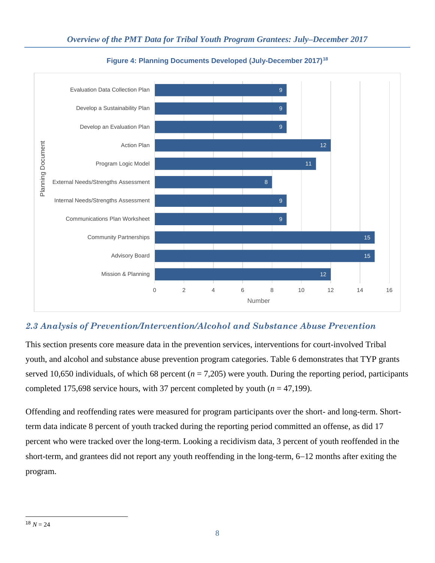

**Figure 4: Planning Documents Developed (July-December 2017)[18](#page-7-0)**

## *2.3 Analysis of Prevention/Intervention/Alcohol and Substance Abuse Prevention*

This section presents core measure data in the prevention services, interventions for court-involved Tribal youth, and alcohol and substance abuse prevention program categories. Table 6 demonstrates that TYP grants served 10,650 individuals, of which 68 percent  $(n = 7,205)$  were youth. During the reporting period, participants completed 175,698 service hours, with 37 percent completed by youth  $(n = 47,199)$ .

Offending and reoffending rates were measured for program participants over the short- and long-term. Shortterm data indicate 8 percent of youth tracked during the reporting period committed an offense, as did 17 percent who were tracked over the long-term. Looking a recidivism data, 3 percent of youth reoffended in the short-term, and grantees did not report any youth reoffending in the long-term, 6−12 months after exiting the program.

<span id="page-7-0"></span> $\overline{a}$  $18 N = 24$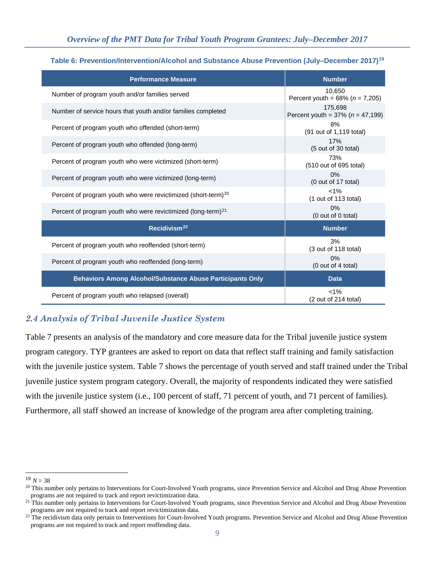| Table 6: Prevention/Intervention/Alcohol and Substance Abuse Prevention (July–December 2017) <sup>19</sup> |  |  |  |  |
|------------------------------------------------------------------------------------------------------------|--|--|--|--|
|------------------------------------------------------------------------------------------------------------|--|--|--|--|

| <b>Performance Measure</b>                                                | <b>Number</b>                                      |
|---------------------------------------------------------------------------|----------------------------------------------------|
| Number of program youth and/or families served                            | 10.650<br>Percent youth = $68\%$ ( $n = 7,205$ )   |
| Number of service hours that youth and/or families completed              | 175,698<br>Percent youth = $37\%$ ( $n = 47,199$ ) |
| Percent of program youth who offended (short-term)                        | 8%<br>(91 out of 1,119 total)                      |
| Percent of program youth who offended (long-term)                         | 17%<br>(5 out of 30 total)                         |
| Percent of program youth who were victimized (short-term)                 | 73%<br>(510 out of 695 total)                      |
| Percent of program youth who were victimized (long-term)                  | 0%<br>(0 out of 17 total)                          |
| Percent of program youth who were revictimized (short-term) <sup>20</sup> | $< 1\%$<br>(1 out of 113 total)                    |
| Percent of program youth who were revictimized (long-term) <sup>21</sup>  | $0\%$<br>(0 out of 0 total)                        |
| Recidivism <sup>22</sup>                                                  | <b>Number</b>                                      |
| Percent of program youth who reoffended (short-term)                      | 3%<br>(3 out of 118 total)                         |
| Percent of program youth who reoffended (long-term)                       | 0%<br>(0 out of 4 total)                           |
| <b>Behaviors Among Alcohol/Substance Abuse Participants Only</b>          | <b>Data</b>                                        |
| Percent of program youth who relapsed (overall)                           | $< 1\%$<br>(2 out of 214 total)                    |

### *2.4 Analysis of Tribal Juvenile Justice System*

Table 7 presents an analysis of the mandatory and core measure data for the Tribal juvenile justice system program category. TYP grantees are asked to report on data that reflect staff training and family satisfaction with the juvenile justice system. Table 7 shows the percentage of youth served and staff trained under the Tribal juvenile justice system program category. Overall, the majority of respondents indicated they were satisfied with the juvenile justice system (i.e., 100 percent of staff, 71 percent of youth, and 71 percent of families). Furthermore, all staff showed an increase of knowledge of the program area after completing training.

 $\overline{a}$  $19 N = 38$ 

<span id="page-8-1"></span><span id="page-8-0"></span><sup>&</sup>lt;sup>20</sup> This number only pertains to Interventions for Court-Involved Youth programs, since Prevention Service and Alcohol and Drug Abuse Prevention programs are not required to track and report revictimization data.

<span id="page-8-2"></span><sup>&</sup>lt;sup>21</sup> This number only pertains to Interventions for Court-Involved Youth programs, since Prevention Service and Alcohol and Drug Abuse Prevention programs are not required to track and report revictimization data.

<span id="page-8-3"></span><sup>&</sup>lt;sup>22</sup> The recidivism data only pertain to Interventions for Court-Involved Youth programs. Prevention Service and Alcohol and Drug Abuse Prevention programs are not required to track and report reoffending data.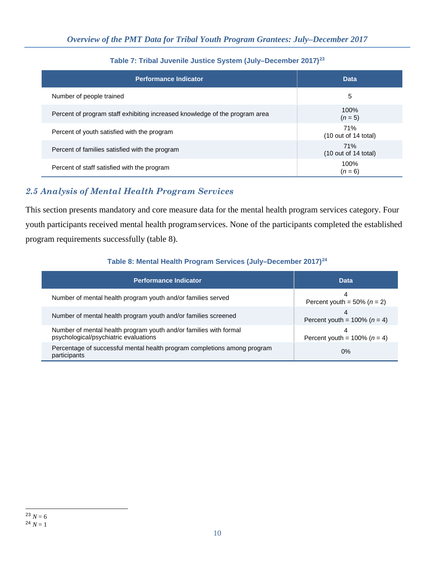| <b>Performance Indicator</b>                                                | <b>Data</b>                                    |
|-----------------------------------------------------------------------------|------------------------------------------------|
| Number of people trained                                                    | 5                                              |
| Percent of program staff exhibiting increased knowledge of the program area | $100\%$<br>$(n=5)$                             |
| Percent of youth satisfied with the program                                 | 71%<br>$(10 \text{ out of } 14 \text{ total})$ |
| Percent of families satisfied with the program                              | 71%<br>$(10 \text{ out of } 14 \text{ total})$ |
| Percent of staff satisfied with the program                                 | 100%<br>$(n=6)$                                |

#### **Table 7: Tribal Juvenile Justice System (July–December 2017)[23](#page-9-0)**

## *2.5 Analysis of Mental Health Program Services*

This section presents mandatory and core measure data for the mental health program services category. Four youth participants received mental health programservices. None of the participants completed the established program requirements successfully (table 8).

#### **Table 8: Mental Health Program Services (July–December 2017)[24](#page-9-1)**

<span id="page-9-1"></span><span id="page-9-0"></span>

| <b>Performance Indicator</b>                                                                               | <b>Data</b>                              |
|------------------------------------------------------------------------------------------------------------|------------------------------------------|
| Number of mental health program youth and/or families served                                               | 4<br>Percent youth = $50\%$ ( $n = 2$ )  |
| Number of mental health program youth and/or families screened                                             | 4<br>Percent youth = $100\%$ ( $n = 4$ ) |
| Number of mental health program youth and/or families with formal<br>psychological/psychiatric evaluations | 4<br>Percent youth = $100\%$ ( $n = 4$ ) |
| Percentage of successful mental health program completions among program<br>participants                   | $0\%$                                    |